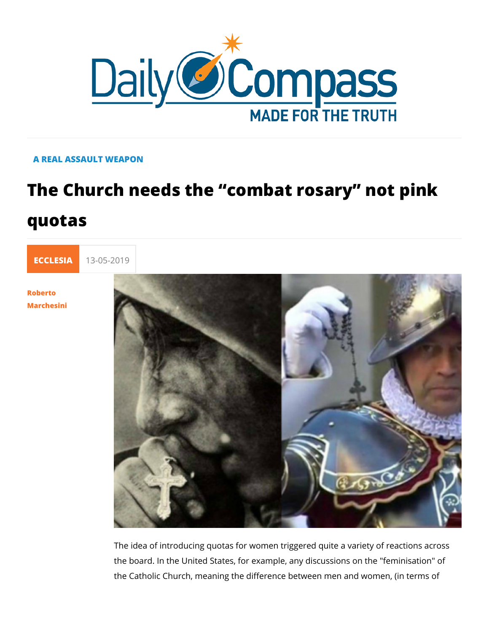## A REAL ASSAULT WEAPON

## The Church needs the combat rosary quotas



[Rober](/en/roberto-marchesini)to [Marches](/en/roberto-marchesini)ini

> The idea of introducing quotas for women triggered quite a val the board. In the United States, for example, any discussions the Catholic Church, meaning the difference between men and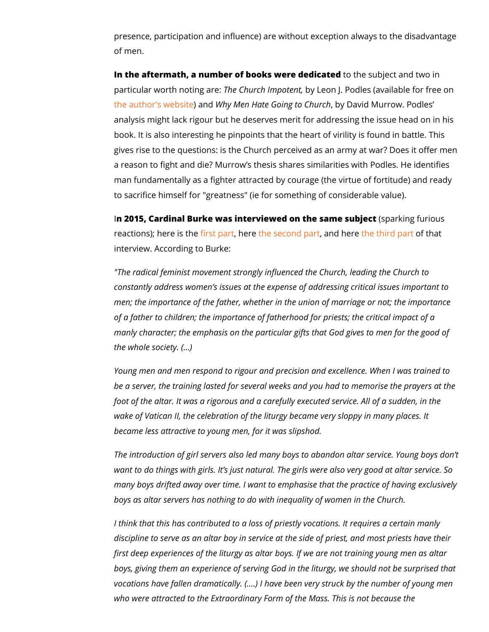presence, participation and influence) are without exception a of men.

In the aftermath, a number of books wetroe toned stand the substitution in particular worth noTthinegCahruer.ch Imbopotleenotn, J. Podles (available f [the author's w](http://www.podles.org/church-impotent.htm)eak on White Coing to David Murrow. Podles analysis might lack rigour but he deserves merit for addressin book. It is also interesting he pinpoints that the heart of virili gives rise to the questions: is the Church perceived as an arm a reason to fight and die? Murrow s thesis shares similarities man fundamentally as a fighter attracted by courage (the virtu to sacrifice himself for "greatness" (ie for something of consid

In 2015, Cardinal Burke was interviewed on the parakmengs tubujectus reactions); here insett phastre it be second, pannot here third part that interview. According to Burke:

"The radical feminist movement strongly influenced the Church constantly address women s issues at the expense of addressi men; the importance of the father, whether in the union of mar of a father to children; the importance of fatherhood for priest manly character; the emphasis on the particular gifts that God the whole society. ( &)

Young men and men respond to rigour and precision and excel be a server, the training lasted for several weeks and you had foot of the altar. It was a rigorous and a carefully executed se wake of Vatican II, the celebration of the liturgy became very became less attractive to young men, for it was slipshod.

The introduction of girl servers also led many boys to abandor want to do things with girls. It s just natural. The girls were a many boys drifted away over time. I want to emphasise that th boys as altar servers has nothing to do with inequality of wom

I think that this has contributed to a loss of priestly vocations discipline to serve as an altar boy in service at the side of pri first deep experiences of the liturgy as altar boys. If we are n boys, giving them an experience of serving God in the liturgy, vocations have fallen dramatically. (&.) I have been very struc who were attracted to the Extraordinary Form of the Mass. Thi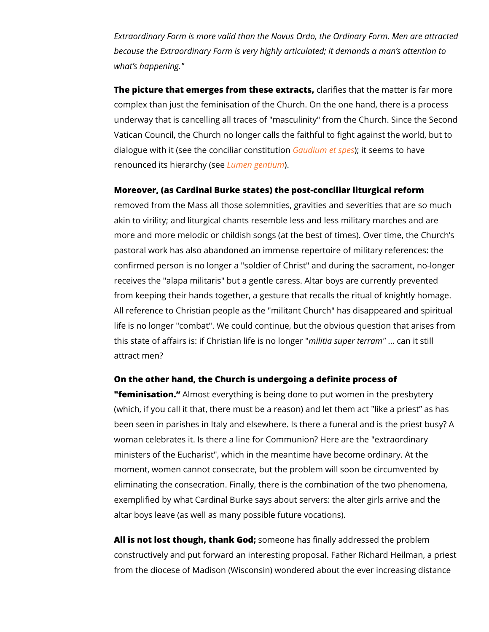Extraordinary Form is more valid than the Novus Ordo, the Ord because the Extraordinary Form is very highly articulated; it d what s happening."

The picture that emerges from the sea extines at the matter is farmer is the matter is farmer on  $\alpha$ complex than just the feminisation of the Church. On the one hand, underway that is cancelling all traces of "masculinity" from the Vatican Council, the Church no longer calls the faithful to fight dialogue with it (see the concidiaurdcomms bilt;usht esseems to have renounced its hieralromyen (sgeen) tium

Moreover, (as Cardinal Burke states) the post-conciliar liturgi removed from the Mass all those solemnities, gravities and se akin to virility; and liturgical chants resemble less and less m more and more melodic or childish songs (at the best of times) pastoral work has also abandoned an immense repertoire of mi confirmed person is no longer a "soldier of Christ" and during receives the "alapa militaris" but a gentle caress. Altar boys a from keeping their hands together, a gesture that recalls the r All reference to Christian people as the "militant Church" has life is no longer "combat". We could continue, but the obvious this state of affairs is: if Christian.nilitifae sisupneor Itoenrgoaeannn" it still attract men?

On the other hand, the Church is undergoing a definite proces "feminisatioAnlmost everything is being done to put women in th (which, if you call it that, there must be a reason) and let the been seen in parishes in Italy and elsewhere. Is there a funera woman celebrates it. Is there a line for Communion? Here are ministers of the Eucharist", which in the meantime have becom moment, women cannot consecrate, but the problem will soon b eliminating the consecration. Finally, there is the combination exemplified by what Cardinal Burke says about servers: the alter altar boys leave (as well as many possible future vocations).

All is not lost though, than m Goonde; has finally addressed the problem constructively and put forward an interesting proposal. Father from the diocese of Madison (Wisconsin) wondered about the e